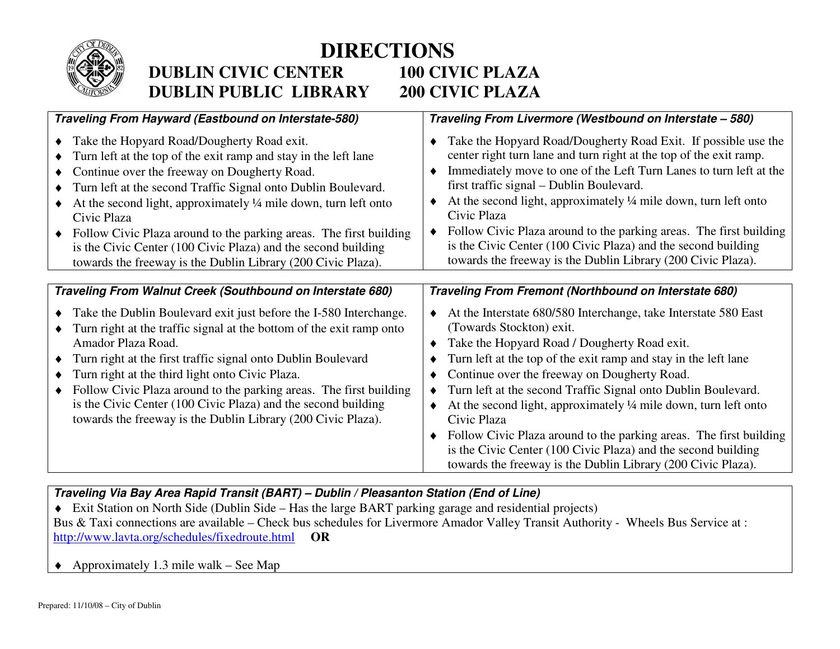

## **DIRECTIONS DUBLIN CIVIC CENTER 100 CIVIC PLAZA** 200 CIVIC PLAZA **DUBLIN PUBLIC LIBRARY**

| Traveling From Hayward (Eastbound on Interstate-580)                                                                                                                                                                                                                                                                                                                                                                                                                                                                     | Traveling From Livermore (Westbound on Interstate - 580)                                                                                                                                                                                                                                                                                                                                                                                                                                                                                                                                                                                           |
|--------------------------------------------------------------------------------------------------------------------------------------------------------------------------------------------------------------------------------------------------------------------------------------------------------------------------------------------------------------------------------------------------------------------------------------------------------------------------------------------------------------------------|----------------------------------------------------------------------------------------------------------------------------------------------------------------------------------------------------------------------------------------------------------------------------------------------------------------------------------------------------------------------------------------------------------------------------------------------------------------------------------------------------------------------------------------------------------------------------------------------------------------------------------------------------|
| Take the Hopyard Road/Dougherty Road exit.<br>Turn left at the top of the exit ramp and stay in the left lane<br>Continue over the freeway on Dougherty Road.<br>Turn left at the second Traffic Signal onto Dublin Boulevard.<br>At the second light, approximately 1/4 mile down, turn left onto<br>Civic Plaza<br>Follow Civic Plaza around to the parking areas. The first building<br>is the Civic Center (100 Civic Plaza) and the second building<br>towards the freeway is the Dublin Library (200 Civic Plaza). | Take the Hopyard Road/Dougherty Road Exit. If possible use the<br>center right turn lane and turn right at the top of the exit ramp.<br>Immediately move to one of the Left Turn Lanes to turn left at the<br>٠<br>first traffic signal - Dublin Boulevard.<br>At the second light, approximately 1/4 mile down, turn left onto<br>٠<br>Civic Plaza<br>Follow Civic Plaza around to the parking areas. The first building<br>is the Civic Center (100 Civic Plaza) and the second building<br>towards the freeway is the Dublin Library (200 Civic Plaza).                                                                                         |
| Traveling From Walnut Creek (Southbound on Interstate 680)                                                                                                                                                                                                                                                                                                                                                                                                                                                               | Traveling From Fremont (Northbound on Interstate 680)                                                                                                                                                                                                                                                                                                                                                                                                                                                                                                                                                                                              |
| Take the Dublin Boulevard exit just before the I-580 Interchange.<br>Turn right at the traffic signal at the bottom of the exit ramp onto<br>Amador Plaza Road.<br>Turn right at the first traffic signal onto Dublin Boulevard<br>Turn right at the third light onto Civic Plaza.<br>Follow Civic Plaza around to the parking areas. The first building<br>is the Civic Center (100 Civic Plaza) and the second building<br>towards the freeway is the Dublin Library (200 Civic Plaza).                                | At the Interstate 680/580 Interchange, take Interstate 580 East<br>٠<br>(Towards Stockton) exit.<br>Take the Hopyard Road / Dougherty Road exit.<br>٠<br>Turn left at the top of the exit ramp and stay in the left lane<br>Continue over the freeway on Dougherty Road.<br>Turn left at the second Traffic Signal onto Dublin Boulevard.<br>٠<br>At the second light, approximately 1/4 mile down, turn left onto<br>٠<br>Civic Plaza<br>Follow Civic Plaza around to the parking areas. The first building<br>٠<br>is the Civic Center (100 Civic Plaza) and the second building<br>towards the freeway is the Dublin Library (200 Civic Plaza). |

## **Traveling Via Bay Area Rapid Transit (BART) – Dublin / Pleasanton Station (End of Line)**

- ♦ Exit Station on North Side (Dublin Side Has the large BART parking garage and residential projects) Bus & Taxi connections are available – Check bus schedules for Livermore Amador Valley Transit Authority - Wheels Bus Service at : http://www.lavta.org/schedules/fixedroute.html **OR**
- $\triangle$  Approximately 1.3 mile walk See Map